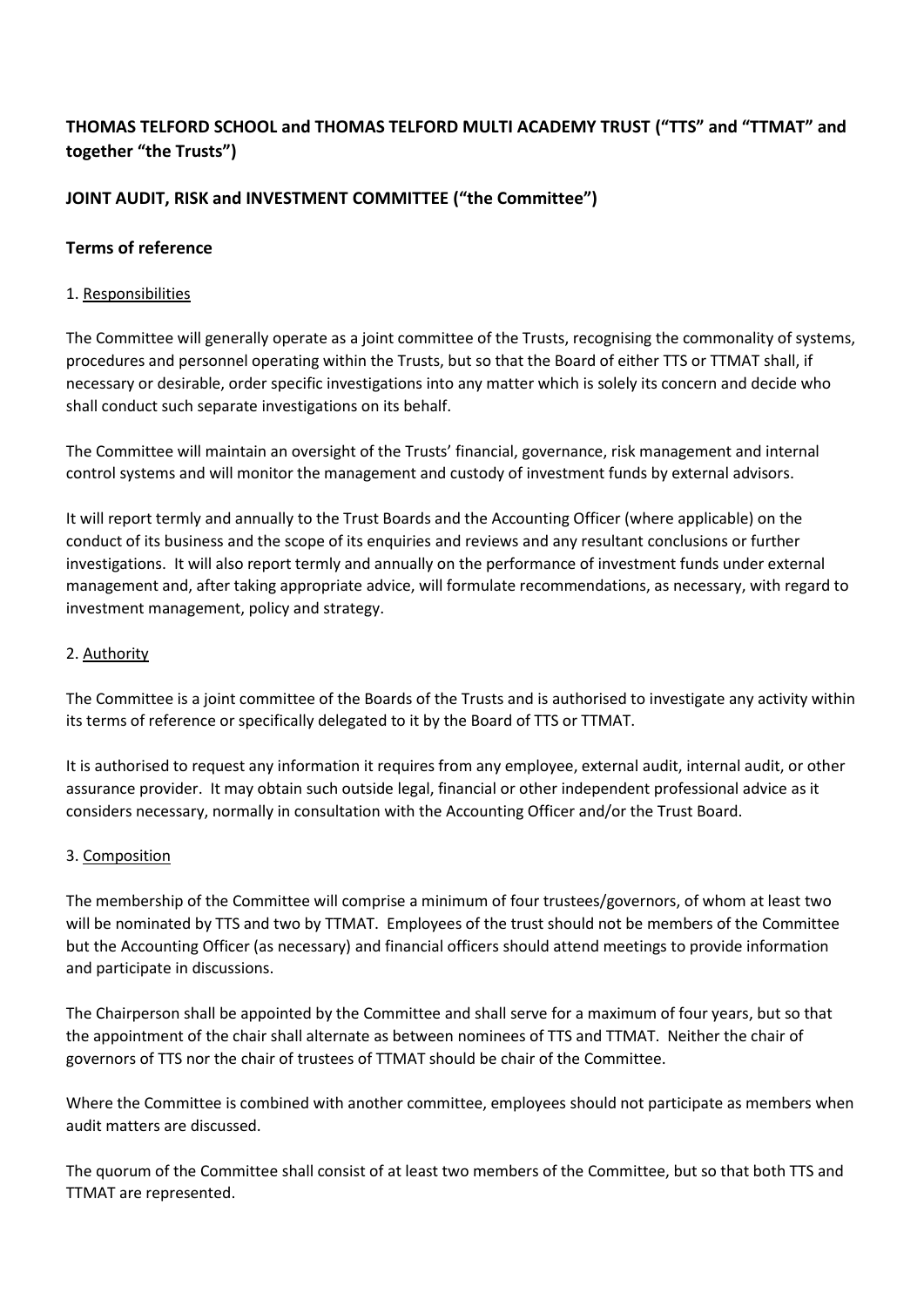# **THOMAS TELFORD SCHOOL and THOMAS TELFORD MULTI ACADEMY TRUST ("TTS" and "TTMAT" and together "the Trusts")**

## **JOINT AUDIT, RISK and INVESTMENT COMMITTEE ("the Committee")**

#### **Terms of reference**

#### 1. Responsibilities

The Committee will generally operate as a joint committee of the Trusts, recognising the commonality of systems, procedures and personnel operating within the Trusts, but so that the Board of either TTS or TTMAT shall, if necessary or desirable, order specific investigations into any matter which is solely its concern and decide who shall conduct such separate investigations on its behalf.

The Committee will maintain an oversight of the Trusts' financial, governance, risk management and internal control systems and will monitor the management and custody of investment funds by external advisors.

It will report termly and annually to the Trust Boards and the Accounting Officer (where applicable) on the conduct of its business and the scope of its enquiries and reviews and any resultant conclusions or further investigations. It will also report termly and annually on the performance of investment funds under external management and, after taking appropriate advice, will formulate recommendations, as necessary, with regard to investment management, policy and strategy.

#### 2. Authority

The Committee is a joint committee of the Boards of the Trusts and is authorised to investigate any activity within its terms of reference or specifically delegated to it by the Board of TTS or TTMAT.

It is authorised to request any information it requires from any employee, external audit, internal audit, or other assurance provider. It may obtain such outside legal, financial or other independent professional advice as it considers necessary, normally in consultation with the Accounting Officer and/or the Trust Board.

#### 3. Composition

The membership of the Committee will comprise a minimum of four trustees/governors, of whom at least two will be nominated by TTS and two by TTMAT. Employees of the trust should not be members of the Committee but the Accounting Officer (as necessary) and financial officers should attend meetings to provide information and participate in discussions.

The Chairperson shall be appointed by the Committee and shall serve for a maximum of four years, but so that the appointment of the chair shall alternate as between nominees of TTS and TTMAT. Neither the chair of governors of TTS nor the chair of trustees of TTMAT should be chair of the Committee.

Where the Committee is combined with another committee, employees should not participate as members when audit matters are discussed.

The quorum of the Committee shall consist of at least two members of the Committee, but so that both TTS and TTMAT are represented.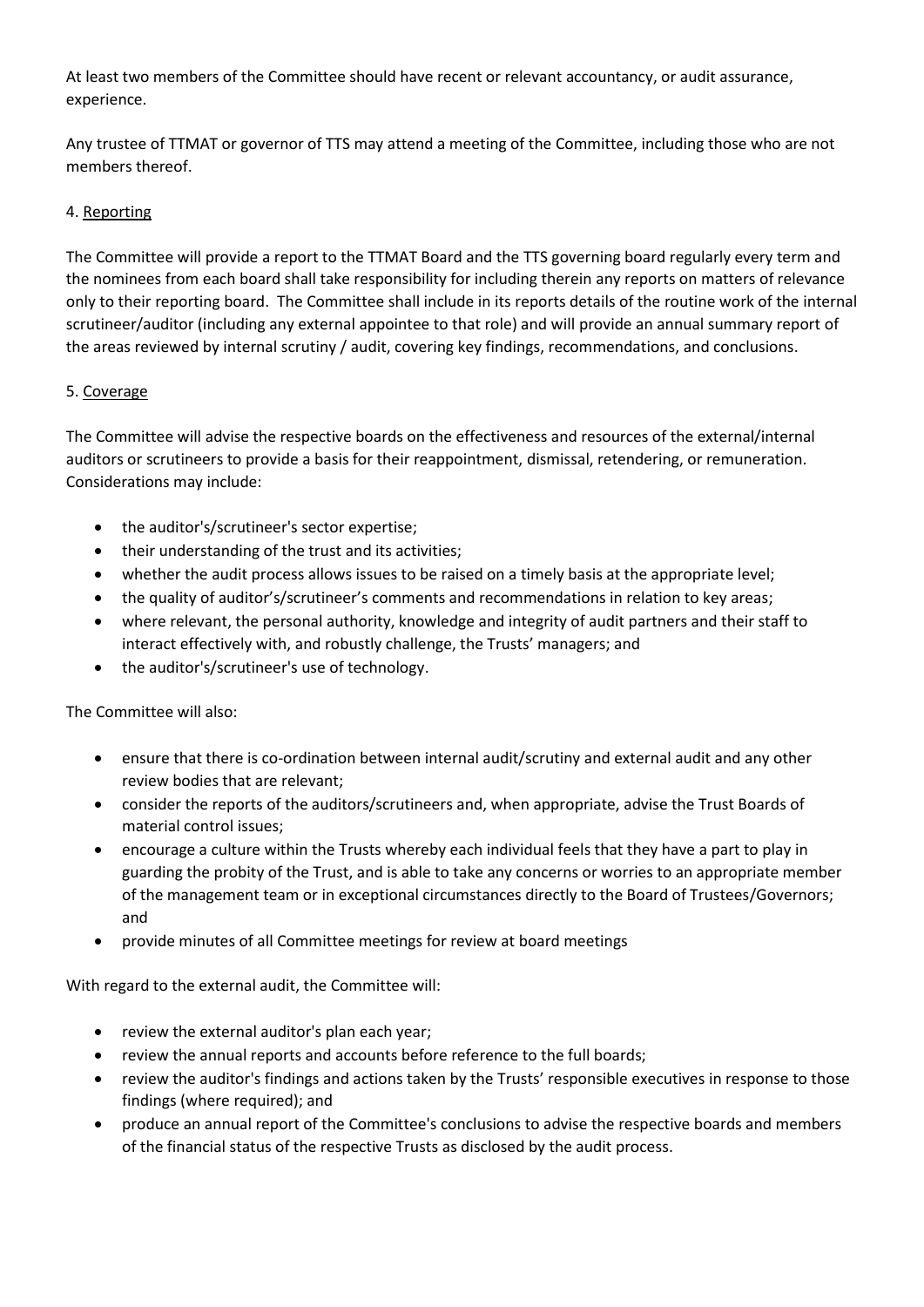At least two members of the Committee should have recent or relevant accountancy, or audit assurance, experience.

Any trustee of TTMAT or governor of TTS may attend a meeting of the Committee, including those who are not members thereof.

### 4. Reporting

The Committee will provide a report to the TTMAT Board and the TTS governing board regularly every term and the nominees from each board shall take responsibility for including therein any reports on matters of relevance only to their reporting board. The Committee shall include in its reports details of the routine work of the internal scrutineer/auditor (including any external appointee to that role) and will provide an annual summary report of the areas reviewed by internal scrutiny / audit, covering key findings, recommendations, and conclusions.

#### 5. Coverage

The Committee will advise the respective boards on the effectiveness and resources of the external/internal auditors or scrutineers to provide a basis for their reappointment, dismissal, retendering, or remuneration. Considerations may include:

- the auditor's/scrutineer's sector expertise;
- their understanding of the trust and its activities;
- whether the audit process allows issues to be raised on a timely basis at the appropriate level;
- the quality of auditor's/scrutineer's comments and recommendations in relation to key areas;
- where relevant, the personal authority, knowledge and integrity of audit partners and their staff to interact effectively with, and robustly challenge, the Trusts' managers; and
- the auditor's/scrutineer's use of technology.

The Committee will also:

- ensure that there is co-ordination between internal audit/scrutiny and external audit and any other review bodies that are relevant;
- consider the reports of the auditors/scrutineers and, when appropriate, advise the Trust Boards of material control issues;
- encourage a culture within the Trusts whereby each individual feels that they have a part to play in guarding the probity of the Trust, and is able to take any concerns or worries to an appropriate member of the management team or in exceptional circumstances directly to the Board of Trustees/Governors; and
- provide minutes of all Committee meetings for review at board meetings

With regard to the external audit, the Committee will:

- review the external auditor's plan each year;
- review the annual reports and accounts before reference to the full boards;
- review the auditor's findings and actions taken by the Trusts' responsible executives in response to those findings (where required); and
- produce an annual report of the Committee's conclusions to advise the respective boards and members of the financial status of the respective Trusts as disclosed by the audit process.